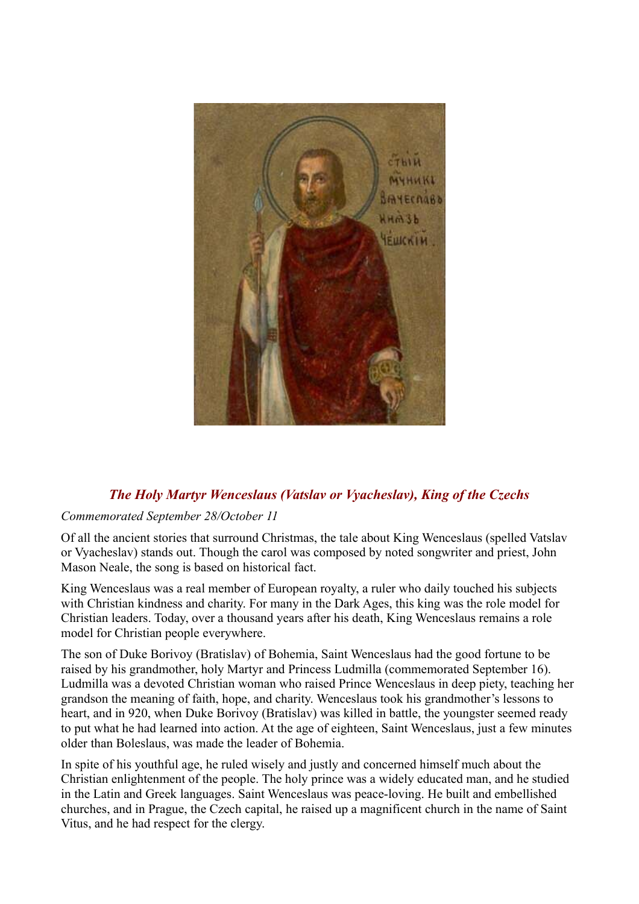

## *The Holy Martyr Wenceslaus (Vatslav or Vyacheslav), King of the Czechs*

## *Commemorated September 28/October 11*

Of all the ancient stories that surround Christmas, the tale about King Wenceslaus (spelled Vatslav or Vyacheslav) stands out. Though the carol was composed by noted songwriter and priest, John Mason Neale, the song is based on historical fact.

King Wenceslaus was a real member of European royalty, a ruler who daily touched his subjects with Christian kindness and charity. For many in the Dark Ages, this king was the role model for Christian leaders. Today, over a thousand years after his death, King Wenceslaus remains a role model for Christian people everywhere.

The son of Duke Borivoy (Bratislav) of Bohemia, Saint Wenceslaus had the good fortune to be raised by his grandmother, holy Martyr and Princess Ludmilla (commemorated September 16). Ludmilla was a devoted Christian woman who raised Prince Wenceslaus in deep piety, teaching her grandson the meaning of faith, hope, and charity. Wenceslaus took his grandmother's lessons to heart, and in 920, when Duke Borivoy (Bratislav) was killed in battle, the youngster seemed ready to put what he had learned into action. At the age of eighteen, Saint Wenceslaus, just a few minutes older than Boleslaus, was made the leader of Bohemia.

In spite of his youthful age, he ruled wisely and justly and concerned himself much about the Christian enlightenment of the people. The holy prince was a widely educated man, and he studied in the Latin and Greek languages. Saint Wenceslaus was peace-loving. He built and embellished churches, and in Prague, the Czech capital, he raised up a magnificent church in the name of Saint Vitus, and he had respect for the clergy.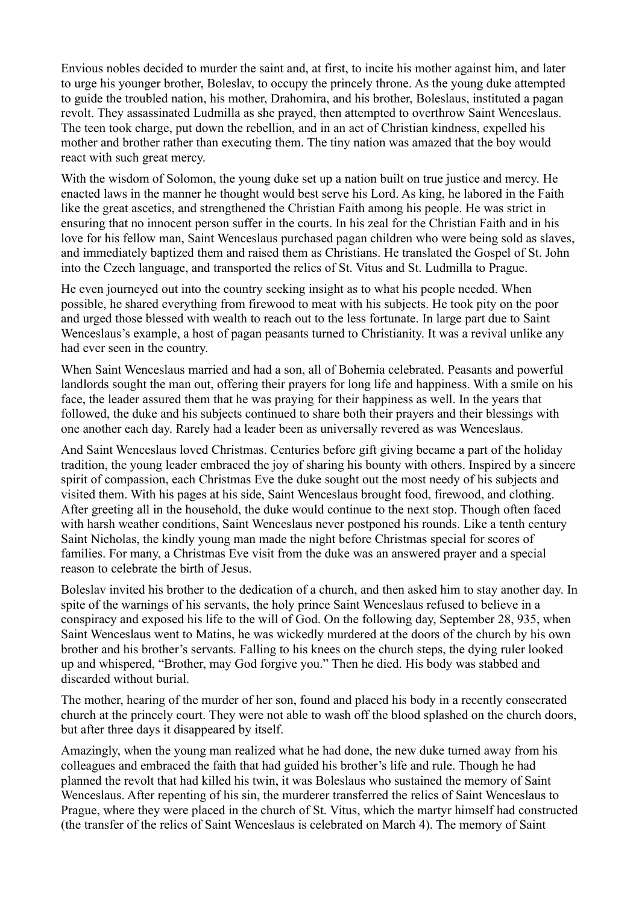Envious nobles decided to murder the saint and, at first, to incite his mother against him, and later to urge his younger brother, Boleslav, to occupy the princely throne. As the young duke attempted to guide the troubled nation, his mother, Drahomira, and his brother, Boleslaus, instituted a pagan revolt. They assassinated Ludmilla as she prayed, then attempted to overthrow Saint Wenceslaus. The teen took charge, put down the rebellion, and in an act of Christian kindness, expelled his mother and brother rather than executing them. The tiny nation was amazed that the boy would react with such great mercy.

With the wisdom of Solomon, the young duke set up a nation built on true justice and mercy. He enacted laws in the manner he thought would best serve his Lord. As king, he labored in the Faith like the great ascetics, and strengthened the Christian Faith among his people. He was strict in ensuring that no innocent person suffer in the courts. In his zeal for the Christian Faith and in his love for his fellow man, Saint Wenceslaus purchased pagan children who were being sold as slaves, and immediately baptized them and raised them as Christians. He translated the Gospel of St. John into the Czech language, and transported the relics of St. Vitus and St. Ludmilla to Prague.

He even journeyed out into the country seeking insight as to what his people needed. When possible, he shared everything from firewood to meat with his subjects. He took pity on the poor and urged those blessed with wealth to reach out to the less fortunate. In large part due to Saint Wenceslaus's example, a host of pagan peasants turned to Christianity. It was a revival unlike any had ever seen in the country.

When Saint Wenceslaus married and had a son, all of Bohemia celebrated. Peasants and powerful landlords sought the man out, offering their prayers for long life and happiness. With a smile on his face, the leader assured them that he was praying for their happiness as well. In the years that followed, the duke and his subjects continued to share both their prayers and their blessings with one another each day. Rarely had a leader been as universally revered as was Wenceslaus.

And Saint Wenceslaus loved Christmas. Centuries before gift giving became a part of the holiday tradition, the young leader embraced the joy of sharing his bounty with others. Inspired by a sincere spirit of compassion, each Christmas Eve the duke sought out the most needy of his subjects and visited them. With his pages at his side, Saint Wenceslaus brought food, firewood, and clothing. After greeting all in the household, the duke would continue to the next stop. Though often faced with harsh weather conditions. Saint Wenceslaus never postponed his rounds. Like a tenth century Saint Nicholas, the kindly young man made the night before Christmas special for scores of families. For many, a Christmas Eve visit from the duke was an answered prayer and a special reason to celebrate the birth of Jesus.

Boleslav invited his brother to the dedication of a church, and then asked him to stay another day. In spite of the warnings of his servants, the holy prince Saint Wenceslaus refused to believe in a conspiracy and exposed his life to the will of God. On the following day, September 28, 935, when Saint Wenceslaus went to Matins, he was wickedly murdered at the doors of the church by his own brother and his brother's servants. Falling to his knees on the church steps, the dying ruler looked up and whispered, "Brother, may God forgive you." Then he died. His body was stabbed and discarded without burial.

The mother, hearing of the murder of her son, found and placed his body in a recently consecrated church at the princely court. They were not able to wash off the blood splashed on the church doors, but after three days it disappeared by itself.

Amazingly, when the young man realized what he had done, the new duke turned away from his colleagues and embraced the faith that had guided his brother's life and rule. Though he had planned the revolt that had killed his twin, it was Boleslaus who sustained the memory of Saint Wenceslaus. After repenting of his sin, the murderer transferred the relics of Saint Wenceslaus to Prague, where they were placed in the church of St. Vitus, which the martyr himself had constructed (the transfer of the relics of Saint Wenceslaus is celebrated on March 4). The memory of Saint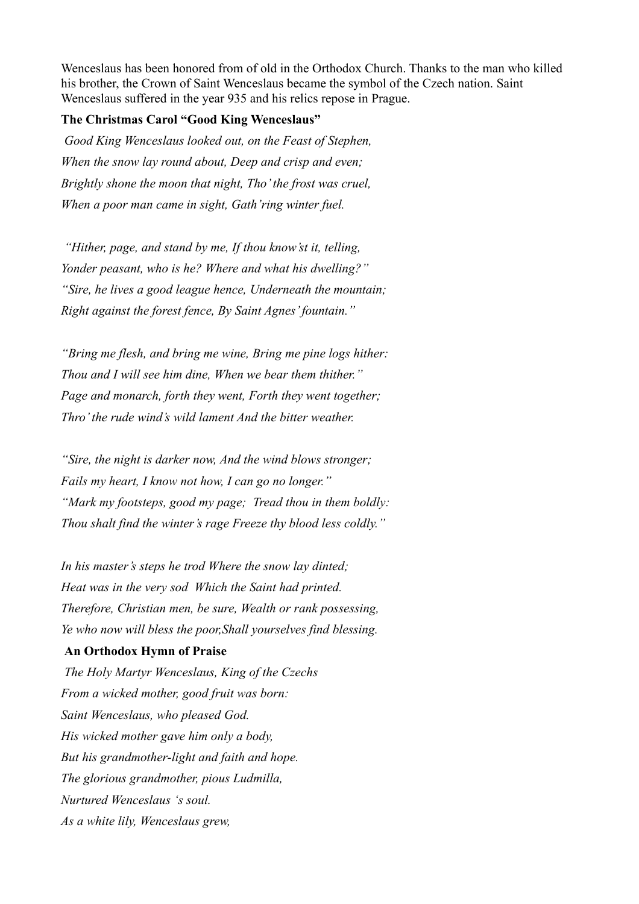Wenceslaus has been honored from of old in the Orthodox Church. Thanks to the man who killed his brother, the Crown of Saint Wenceslaus became the symbol of the Czech nation. Saint Wenceslaus suffered in the year 935 and his relics repose in Prague.

## **The Christmas Carol "Good King Wenceslaus"**

*Good King Wenceslaus looked out, on the Feast of Stephen, When the snow lay round about, Deep and crisp and even; Brightly shone the moon that night, Tho' the frost was cruel, When a poor man came in sight, Gath'ring winter fuel.*

*"Hither, page, and stand by me, If thou know'st it, telling, Yonder peasant, who is he? Where and what his dwelling?" "Sire, he lives a good league hence, Underneath the mountain; Right against the forest fence, By Saint Agnes' fountain."* 

*"Bring me flesh, and bring me wine, Bring me pine logs hither: Thou and I will see him dine, When we bear them thither." Page and monarch, forth they went, Forth they went together; Thro' the rude wind's wild lament And the bitter weather.*

*"Sire, the night is darker now, And the wind blows stronger; Fails my heart, I know not how, I can go no longer." "Mark my footsteps, good my page; Tread thou in them boldly: Thou shalt find the winter's rage Freeze thy blood less coldly."*

*In his master's steps he trod Where the snow lay dinted; Heat was in the very sod Which the Saint had printed. Therefore, Christian men, be sure, Wealth or rank possessing, Ye who now will bless the poor,Shall yourselves find blessing.*

## **An Orthodox Hymn of Praise**

*The Holy Martyr Wenceslaus, King of the Czechs From a wicked mother, good fruit was born: Saint Wenceslaus, who pleased God. His wicked mother gave him only a body, But his grandmother-light and faith and hope. The glorious grandmother, pious Ludmilla, Nurtured Wenceslaus 's soul. As a white lily, Wenceslaus grew,*